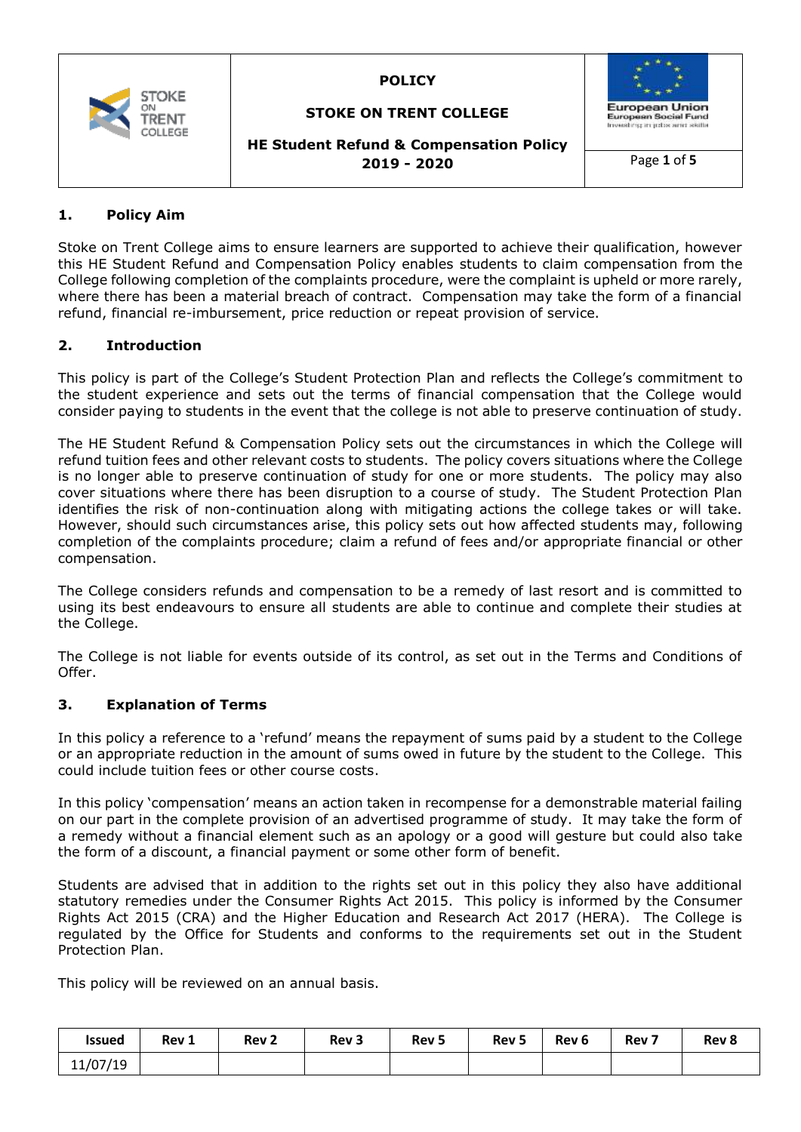

## **STOKE ON TRENT COLLEGE**



**HE Student Refund & Compensation Policy 2019 - 2020** Page **1** of **5**

# **1. Policy Aim**

Stoke on Trent College aims to ensure learners are supported to achieve their qualification, however this HE Student Refund and Compensation Policy enables students to claim compensation from the College following completion of the complaints procedure, were the complaint is upheld or more rarely, where there has been a material breach of contract. Compensation may take the form of a financial refund, financial re-imbursement, price reduction or repeat provision of service.

## **2. Introduction**

This policy is part of the College's Student Protection Plan and reflects the College's commitment to the student experience and sets out the terms of financial compensation that the College would consider paying to students in the event that the college is not able to preserve continuation of study.

The HE Student Refund & Compensation Policy sets out the circumstances in which the College will refund tuition fees and other relevant costs to students. The policy covers situations where the College is no longer able to preserve continuation of study for one or more students. The policy may also cover situations where there has been disruption to a course of study. The Student Protection Plan identifies the risk of non-continuation along with mitigating actions the college takes or will take. However, should such circumstances arise, this policy sets out how affected students may, following completion of the complaints procedure; claim a refund of fees and/or appropriate financial or other compensation.

The College considers refunds and compensation to be a remedy of last resort and is committed to using its best endeavours to ensure all students are able to continue and complete their studies at the College.

The College is not liable for events outside of its control, as set out in the Terms and Conditions of Offer.

## **3. Explanation of Terms**

In this policy a reference to a 'refund' means the repayment of sums paid by a student to the College or an appropriate reduction in the amount of sums owed in future by the student to the College. This could include tuition fees or other course costs.

In this policy 'compensation' means an action taken in recompense for a demonstrable material failing on our part in the complete provision of an advertised programme of study. It may take the form of a remedy without a financial element such as an apology or a good will gesture but could also take the form of a discount, a financial payment or some other form of benefit.

Students are advised that in addition to the rights set out in this policy they also have additional statutory remedies under the Consumer Rights Act 2015. This policy is informed by the Consumer Rights Act 2015 (CRA) and the Higher Education and Research Act 2017 (HERA). The College is regulated by the Office for Students and conforms to the requirements set out in the Student Protection Plan.

This policy will be reviewed on an annual basis.

| <b>Issued</b> | Rev 1 | Rev <sub>2</sub> | Rev <sub>3</sub> | Rev <sub>5</sub> | Rev <sub>5</sub> | Rev <sub>6</sub> | Rev <sub>7</sub> | Rev 8 |
|---------------|-------|------------------|------------------|------------------|------------------|------------------|------------------|-------|
| 11/07/19      |       |                  |                  |                  |                  |                  |                  |       |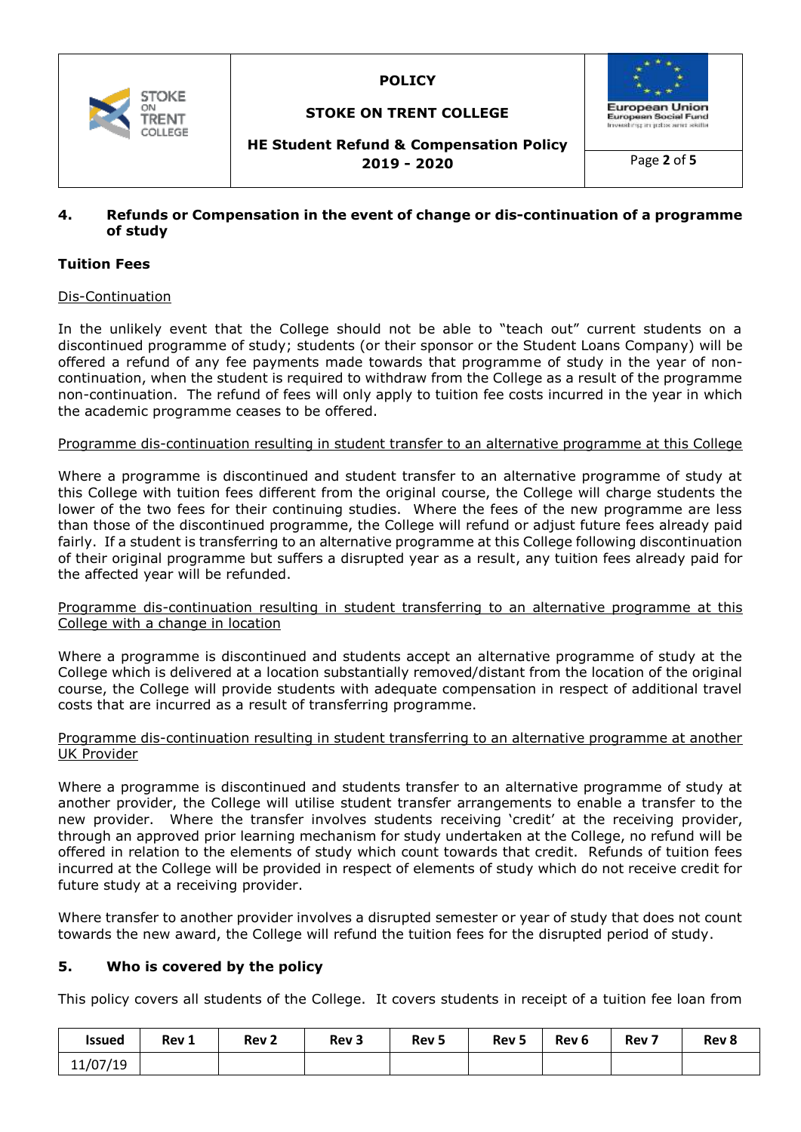

# **STOKE ON TRENT COLLEGE**



**HE Student Refund & Compensation Policy 2019 - 2020** Page **2** of **5**

### **4. Refunds or Compensation in the event of change or dis-continuation of a programme of study**

## **Tuition Fees**

### Dis-Continuation

In the unlikely event that the College should not be able to "teach out" current students on a discontinued programme of study; students (or their sponsor or the Student Loans Company) will be offered a refund of any fee payments made towards that programme of study in the year of noncontinuation, when the student is required to withdraw from the College as a result of the programme non-continuation. The refund of fees will only apply to tuition fee costs incurred in the year in which the academic programme ceases to be offered.

### Programme dis-continuation resulting in student transfer to an alternative programme at this College

Where a programme is discontinued and student transfer to an alternative programme of study at this College with tuition fees different from the original course, the College will charge students the lower of the two fees for their continuing studies. Where the fees of the new programme are less than those of the discontinued programme, the College will refund or adjust future fees already paid fairly. If a student is transferring to an alternative programme at this College following discontinuation of their original programme but suffers a disrupted year as a result, any tuition fees already paid for the affected year will be refunded.

### Programme dis-continuation resulting in student transferring to an alternative programme at this College with a change in location

Where a programme is discontinued and students accept an alternative programme of study at the College which is delivered at a location substantially removed/distant from the location of the original course, the College will provide students with adequate compensation in respect of additional travel costs that are incurred as a result of transferring programme.

#### Programme dis-continuation resulting in student transferring to an alternative programme at another UK Provider

Where a programme is discontinued and students transfer to an alternative programme of study at another provider, the College will utilise student transfer arrangements to enable a transfer to the new provider. Where the transfer involves students receiving 'credit' at the receiving provider, through an approved prior learning mechanism for study undertaken at the College, no refund will be offered in relation to the elements of study which count towards that credit. Refunds of tuition fees incurred at the College will be provided in respect of elements of study which do not receive credit for future study at a receiving provider.

Where transfer to another provider involves a disrupted semester or year of study that does not count towards the new award, the College will refund the tuition fees for the disrupted period of study.

### **5. Who is covered by the policy**

This policy covers all students of the College. It covers students in receipt of a tuition fee loan from

| Issued   | Rev 1 | Rev <sub>2</sub> | Rev <sub>3</sub> | Rev <sub>5</sub> | Rev <sub>5</sub> | Rev <sub>6</sub> | Rev <sub>7</sub> | Rev 8 |
|----------|-------|------------------|------------------|------------------|------------------|------------------|------------------|-------|
| 11/07/19 |       |                  |                  |                  |                  |                  |                  |       |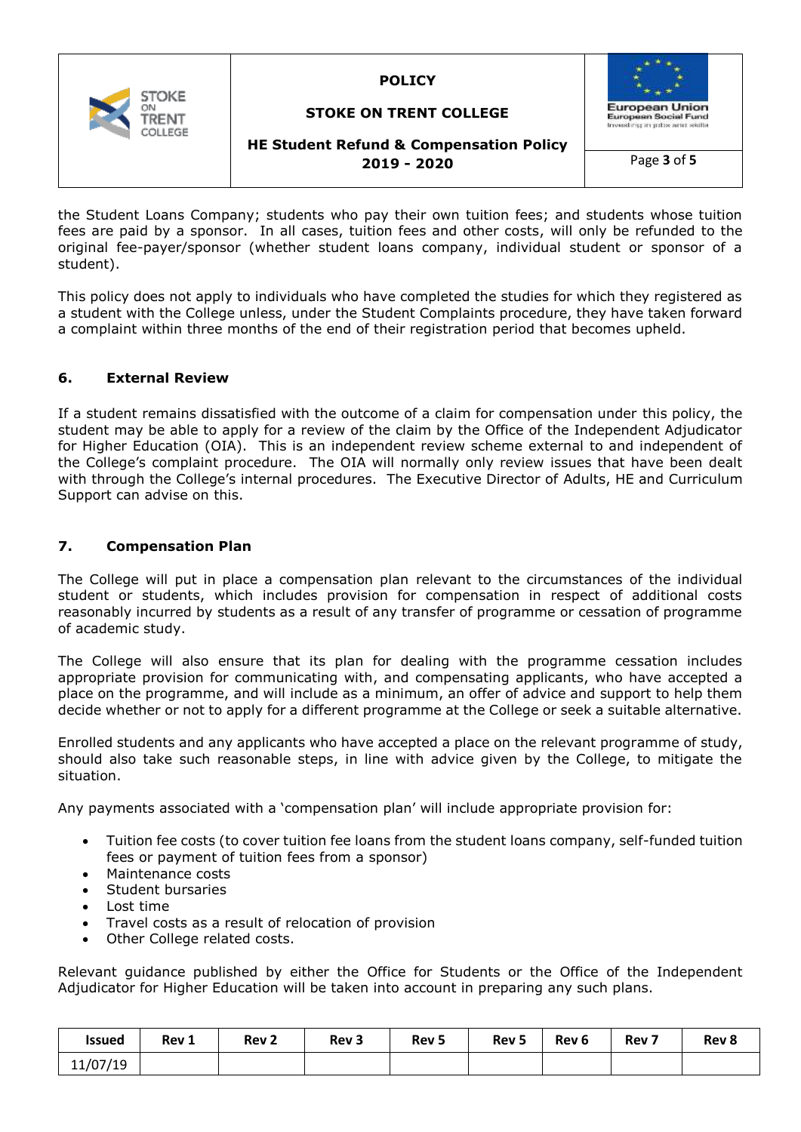

## **STOKE ON TRENT COLLEGE**



# **HE Student Refund & Compensation Policy 2019 - 2020** Page **3** of **5**

the Student Loans Company; students who pay their own tuition fees; and students whose tuition fees are paid by a sponsor. In all cases, tuition fees and other costs, will only be refunded to the original fee-payer/sponsor (whether student loans company, individual student or sponsor of a student).

This policy does not apply to individuals who have completed the studies for which they registered as a student with the College unless, under the Student Complaints procedure, they have taken forward a complaint within three months of the end of their registration period that becomes upheld.

## **6. External Review**

If a student remains dissatisfied with the outcome of a claim for compensation under this policy, the student may be able to apply for a review of the claim by the Office of the Independent Adjudicator for Higher Education (OIA). This is an independent review scheme external to and independent of the College's complaint procedure. The OIA will normally only review issues that have been dealt with through the College's internal procedures. The Executive Director of Adults, HE and Curriculum Support can advise on this.

# **7. Compensation Plan**

The College will put in place a compensation plan relevant to the circumstances of the individual student or students, which includes provision for compensation in respect of additional costs reasonably incurred by students as a result of any transfer of programme or cessation of programme of academic study.

The College will also ensure that its plan for dealing with the programme cessation includes appropriate provision for communicating with, and compensating applicants, who have accepted a place on the programme, and will include as a minimum, an offer of advice and support to help them decide whether or not to apply for a different programme at the College or seek a suitable alternative.

Enrolled students and any applicants who have accepted a place on the relevant programme of study, should also take such reasonable steps, in line with advice given by the College, to mitigate the situation.

Any payments associated with a 'compensation plan' will include appropriate provision for:

- Tuition fee costs (to cover tuition fee loans from the student loans company, self-funded tuition fees or payment of tuition fees from a sponsor)
- Maintenance costs
- Student bursaries
- Lost time
- Travel costs as a result of relocation of provision
- Other College related costs.

Relevant guidance published by either the Office for Students or the Office of the Independent Adjudicator for Higher Education will be taken into account in preparing any such plans.

| <b>Issued</b> | Rev 1 | Rev <sub>2</sub> | Rev <sub>3</sub> | Rev <sub>5</sub> | Rev <sub>5</sub> | Rev <sub>6</sub> | Rev. | Rev 8 |
|---------------|-------|------------------|------------------|------------------|------------------|------------------|------|-------|
| 11/07/19      |       |                  |                  |                  |                  |                  |      |       |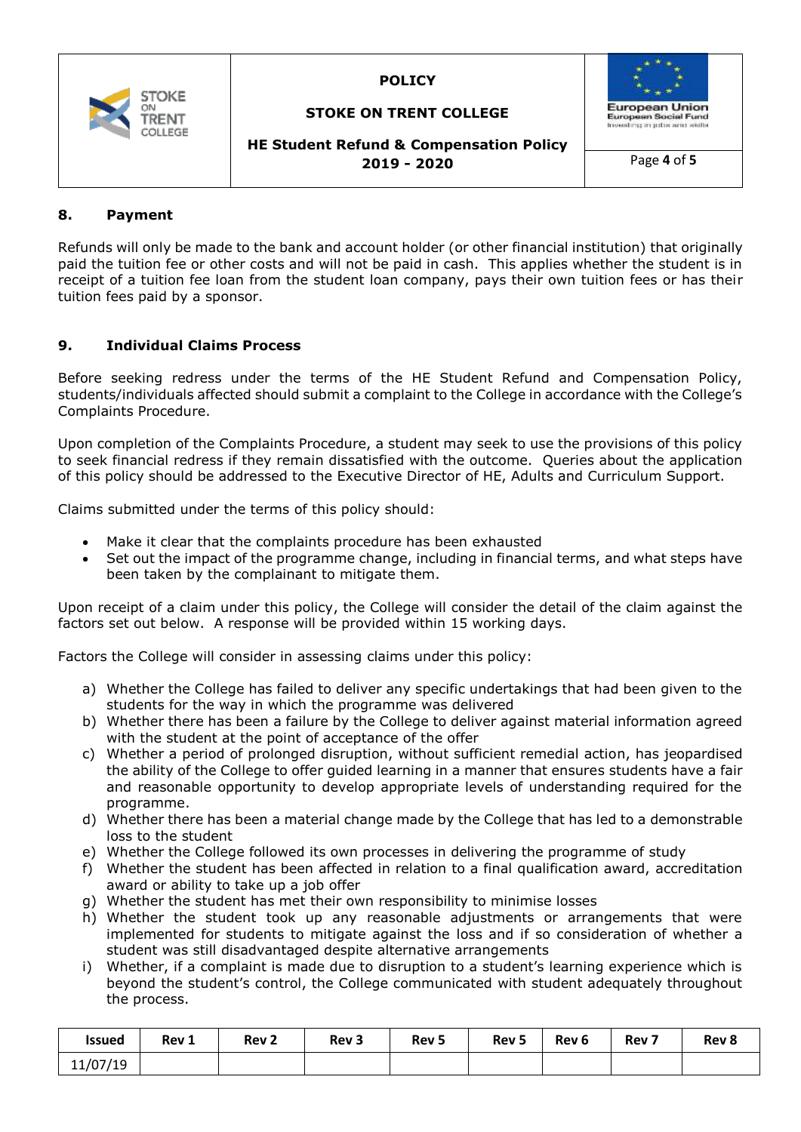

# **STOKE ON TRENT COLLEGE**



**HE Student Refund & Compensation Policy 2019 - 2020** Page **4** of **5**

# **8. Payment**

Refunds will only be made to the bank and account holder (or other financial institution) that originally paid the tuition fee or other costs and will not be paid in cash. This applies whether the student is in receipt of a tuition fee loan from the student loan company, pays their own tuition fees or has their tuition fees paid by a sponsor.

# **9. Individual Claims Process**

Before seeking redress under the terms of the HE Student Refund and Compensation Policy, students/individuals affected should submit a complaint to the College in accordance with the College's Complaints Procedure.

Upon completion of the Complaints Procedure, a student may seek to use the provisions of this policy to seek financial redress if they remain dissatisfied with the outcome. Queries about the application of this policy should be addressed to the Executive Director of HE, Adults and Curriculum Support.

Claims submitted under the terms of this policy should:

- Make it clear that the complaints procedure has been exhausted
- Set out the impact of the programme change, including in financial terms, and what steps have been taken by the complainant to mitigate them.

Upon receipt of a claim under this policy, the College will consider the detail of the claim against the factors set out below. A response will be provided within 15 working days.

Factors the College will consider in assessing claims under this policy:

- a) Whether the College has failed to deliver any specific undertakings that had been given to the students for the way in which the programme was delivered
- b) Whether there has been a failure by the College to deliver against material information agreed with the student at the point of acceptance of the offer
- c) Whether a period of prolonged disruption, without sufficient remedial action, has jeopardised the ability of the College to offer guided learning in a manner that ensures students have a fair and reasonable opportunity to develop appropriate levels of understanding required for the programme.
- d) Whether there has been a material change made by the College that has led to a demonstrable loss to the student
- e) Whether the College followed its own processes in delivering the programme of study
- f) Whether the student has been affected in relation to a final qualification award, accreditation award or ability to take up a job offer
- g) Whether the student has met their own responsibility to minimise losses
- h) Whether the student took up any reasonable adjustments or arrangements that were implemented for students to mitigate against the loss and if so consideration of whether a student was still disadvantaged despite alternative arrangements
- i) Whether, if a complaint is made due to disruption to a student's learning experience which is beyond the student's control, the College communicated with student adequately throughout the process.

| Issued   | Rev 1 | Rev <sub>2</sub> | Rev <sub>3</sub> | Rev <sub>5</sub> | Rev <sub>5</sub> | Rev <sub>6</sub> | Rev 7 | Rev 8 |
|----------|-------|------------------|------------------|------------------|------------------|------------------|-------|-------|
| 11/07/19 |       |                  |                  |                  |                  |                  |       |       |